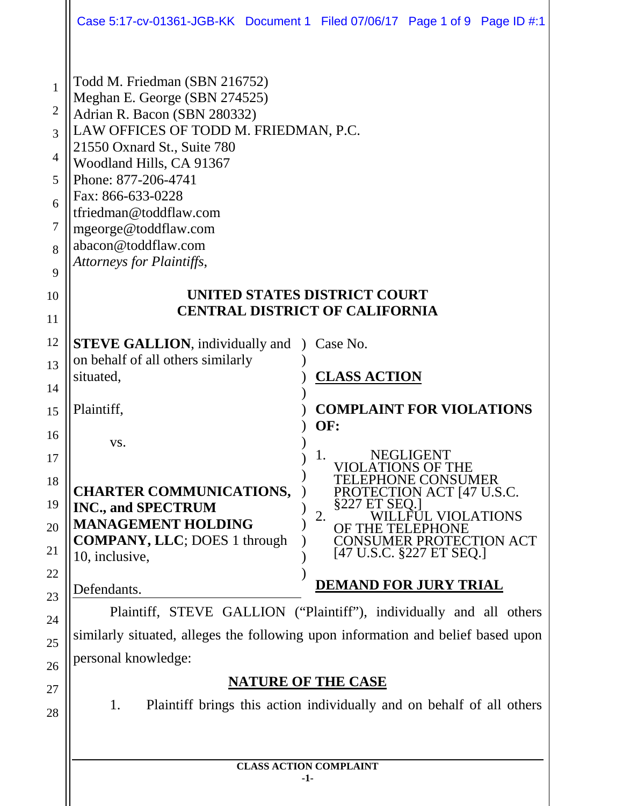|                                                                                 |                                                                                                                                                                                                                                                                                                                                                      | Case 5:17-cv-01361-JGB-KK Document 1 Filed 07/06/17 Page 1 of 9 Page ID #:1                                                                                                                                                                                                   |
|---------------------------------------------------------------------------------|------------------------------------------------------------------------------------------------------------------------------------------------------------------------------------------------------------------------------------------------------------------------------------------------------------------------------------------------------|-------------------------------------------------------------------------------------------------------------------------------------------------------------------------------------------------------------------------------------------------------------------------------|
| 1<br>$\overline{2}$<br>3<br>$\overline{4}$<br>5<br>6<br>7<br>8<br>9<br>10<br>11 | Todd M. Friedman (SBN 216752)<br>Meghan E. George (SBN 274525)<br>Adrian R. Bacon (SBN 280332)<br>LAW OFFICES OF TODD M. FRIEDMAN, P.C.<br>21550 Oxnard St., Suite 780<br>Woodland Hills, CA 91367<br>Phone: 877-206-4741<br>Fax: 866-633-0228<br>tfriedman@toddflaw.com<br>mgeorge@toddflaw.com<br>abacon@toddflaw.com<br>Attorneys for Plaintiffs, | UNITED STATES DISTRICT COURT<br><b>CENTRAL DISTRICT OF CALIFORNIA</b>                                                                                                                                                                                                         |
| 12<br>13<br>14                                                                  | <b>STEVE GALLION</b> , individually and<br>on behalf of all others similarly<br>situated,                                                                                                                                                                                                                                                            | $\big)$ Case No.<br><b>CLASS ACTION</b>                                                                                                                                                                                                                                       |
| 15<br>16<br>17<br>18<br>19<br>20<br>21                                          | Plaintiff,<br>VS.<br><b>CHARTER COMMUNICATIONS,</b><br><b>INC., and SPECTRUM</b><br><b>MANAGEMENT HOLDING</b><br><b>COMPANY, LLC</b> ; DOES 1 through<br>10, inclusive,                                                                                                                                                                              | <b>COMPLAINT FOR VIOLATIONS</b><br>OF:<br><b>NEGLIGENT</b><br>1.<br>VIOLATIONS OF THE<br>TELEPHONE CONSUMER<br>PROTECTION ACT [47 U.S.C.<br>§227 ET SEO.<br>FUL VIOLATIONS<br>2.<br><b>E TELEPHONE</b><br>OF TH<br><b>CONSUMER PROTECTION ACT</b><br>[47 U.S.C. §227 ET SEQ.] |
| 22<br>23                                                                        | Defendants.                                                                                                                                                                                                                                                                                                                                          | <b>DEMAND FOR JURY TRIAL</b>                                                                                                                                                                                                                                                  |
| 24                                                                              | Plaintiff, STEVE GALLION ("Plaintiff"), individually and all others                                                                                                                                                                                                                                                                                  |                                                                                                                                                                                                                                                                               |
| 25                                                                              | similarly situated, alleges the following upon information and belief based upon                                                                                                                                                                                                                                                                     |                                                                                                                                                                                                                                                                               |
| 26                                                                              | personal knowledge:                                                                                                                                                                                                                                                                                                                                  |                                                                                                                                                                                                                                                                               |
| 27                                                                              | <b>NATURE OF THE CASE</b>                                                                                                                                                                                                                                                                                                                            |                                                                                                                                                                                                                                                                               |
| 28                                                                              | 1.                                                                                                                                                                                                                                                                                                                                                   | Plaintiff brings this action individually and on behalf of all others                                                                                                                                                                                                         |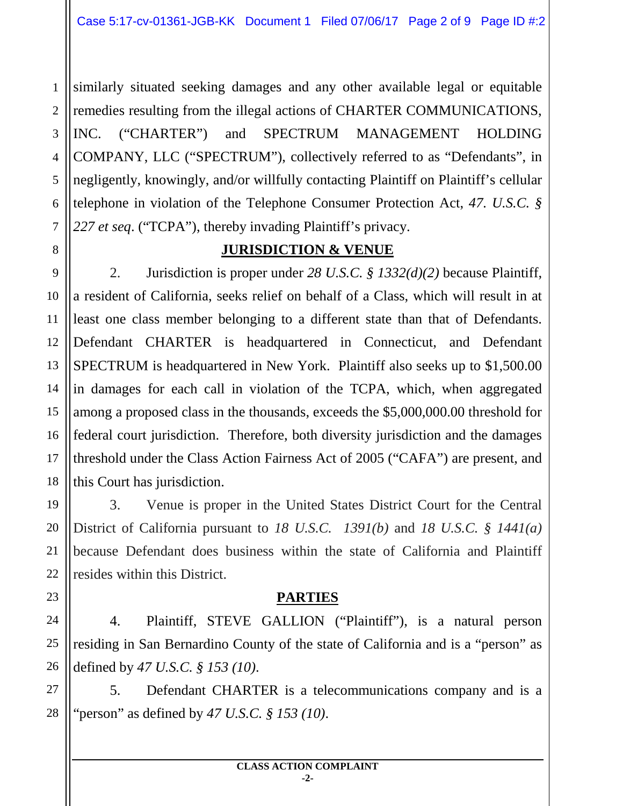1 2 similarly situated seeking damages and any other available legal or equitable remedies resulting from the illegal actions of CHARTER COMMUNICATIONS, INC. ("CHARTER") and SPECTRUM MANAGEMENT HOLDING COMPANY, LLC ("SPECTRUM"), collectively referred to as "Defendants", in negligently, knowingly, and/or willfully contacting Plaintiff on Plaintiff's cellular telephone in violation of the Telephone Consumer Protection Act, *47. U.S.C. § 227 et seq*. ("TCPA"), thereby invading Plaintiff's privacy.

## **JURISDICTION & VENUE**

2. Jurisdiction is proper under *28 U.S.C. § 1332(d)(2)* because Plaintiff, a resident of California, seeks relief on behalf of a Class, which will result in at least one class member belonging to a different state than that of Defendants. Defendant CHARTER is headquartered in Connecticut, and Defendant SPECTRUM is headquartered in New York. Plaintiff also seeks up to \$1,500.00 in damages for each call in violation of the TCPA, which, when aggregated among a proposed class in the thousands, exceeds the \$5,000,000.00 threshold for federal court jurisdiction. Therefore, both diversity jurisdiction and the damages threshold under the Class Action Fairness Act of 2005 ("CAFA") are present, and this Court has jurisdiction.

3. Venue is proper in the United States District Court for the Central District of California pursuant to *18 U.S.C. 1391(b)* and *18 U.S.C. § 1441(a)* because Defendant does business within the state of California and Plaintiff resides within this District.

# **PARTIES**

4. Plaintiff, STEVE GALLION ("Plaintiff"), is a natural person residing in San Bernardino County of the state of California and is a "person" as defined by *47 U.S.C. § 153 (10)*.

5. Defendant CHARTER is a telecommunications company and is a "person" as defined by *47 U.S.C. § 153 (10)*.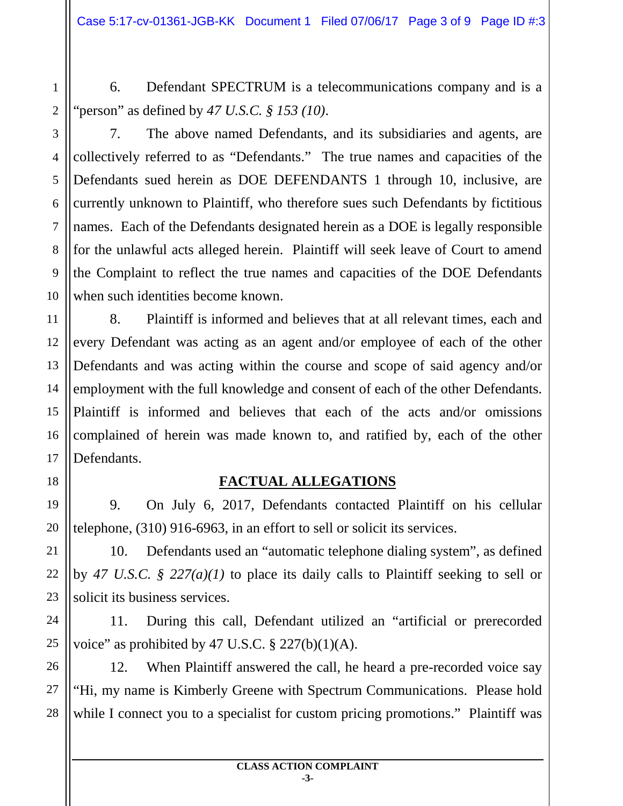6. Defendant SPECTRUM is a telecommunications company and is a "person" as defined by *47 U.S.C. § 153 (10)*.

1

2

3

4

5

6

7

8

9

10

7. The above named Defendants, and its subsidiaries and agents, are collectively referred to as "Defendants." The true names and capacities of the Defendants sued herein as DOE DEFENDANTS 1 through 10, inclusive, are currently unknown to Plaintiff, who therefore sues such Defendants by fictitious names. Each of the Defendants designated herein as a DOE is legally responsible for the unlawful acts alleged herein. Plaintiff will seek leave of Court to amend the Complaint to reflect the true names and capacities of the DOE Defendants when such identities become known.

8. Plaintiff is informed and believes that at all relevant times, each and every Defendant was acting as an agent and/or employee of each of the other Defendants and was acting within the course and scope of said agency and/or employment with the full knowledge and consent of each of the other Defendants. Plaintiff is informed and believes that each of the acts and/or omissions complained of herein was made known to, and ratified by, each of the other Defendants.

# **FACTUAL ALLEGATIONS**

9. On July 6, 2017, Defendants contacted Plaintiff on his cellular telephone, (310) 916-6963, in an effort to sell or solicit its services.

10. Defendants used an "automatic telephone dialing system", as defined by *47 U.S.C. § 227(a)(1)* to place its daily calls to Plaintiff seeking to sell or solicit its business services.

11. During this call, Defendant utilized an "artificial or prerecorded voice" as prohibited by 47 U.S.C.  $\S$  227(b)(1)(A).

28 12. When Plaintiff answered the call, he heard a pre-recorded voice say "Hi, my name is Kimberly Greene with Spectrum Communications. Please hold while I connect you to a specialist for custom pricing promotions." Plaintiff was

**CLASS ACTION COMPLAINT -3-**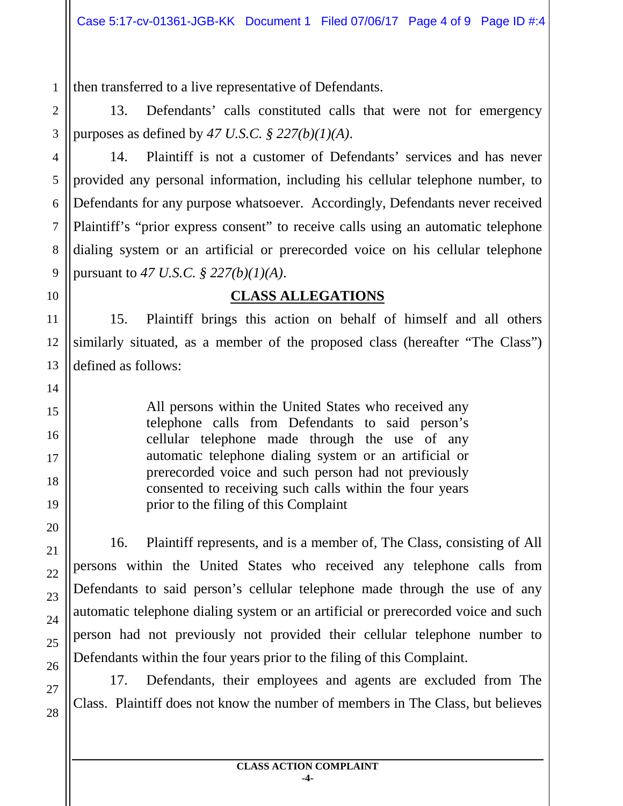1 then transferred to a live representative of Defendants.

2

3

4

5

6

7

8

9

10

11

12

13

14

15

16

17

18

19

20

21

22

23

24

25

26

27

28

13. Defendants' calls constituted calls that were not for emergency purposes as defined by *47 U.S.C. § 227(b)(1)(A)*.

14. Plaintiff is not a customer of Defendants' services and has never provided any personal information, including his cellular telephone number, to Defendants for any purpose whatsoever. Accordingly, Defendants never received Plaintiff's "prior express consent" to receive calls using an automatic telephone dialing system or an artificial or prerecorded voice on his cellular telephone pursuant to *47 U.S.C. § 227(b)(1)(A)*.

# **CLASS ALLEGATIONS**

15. Plaintiff brings this action on behalf of himself and all others similarly situated, as a member of the proposed class (hereafter "The Class") defined as follows:

> All persons within the United States who received any telephone calls from Defendants to said person's cellular telephone made through the use of any automatic telephone dialing system or an artificial or prerecorded voice and such person had not previously consented to receiving such calls within the four years prior to the filing of this Complaint

16. Plaintiff represents, and is a member of, The Class, consisting of All persons within the United States who received any telephone calls from Defendants to said person's cellular telephone made through the use of any automatic telephone dialing system or an artificial or prerecorded voice and such person had not previously not provided their cellular telephone number to Defendants within the four years prior to the filing of this Complaint.

17. Defendants, their employees and agents are excluded from The Class. Plaintiff does not know the number of members in The Class, but believes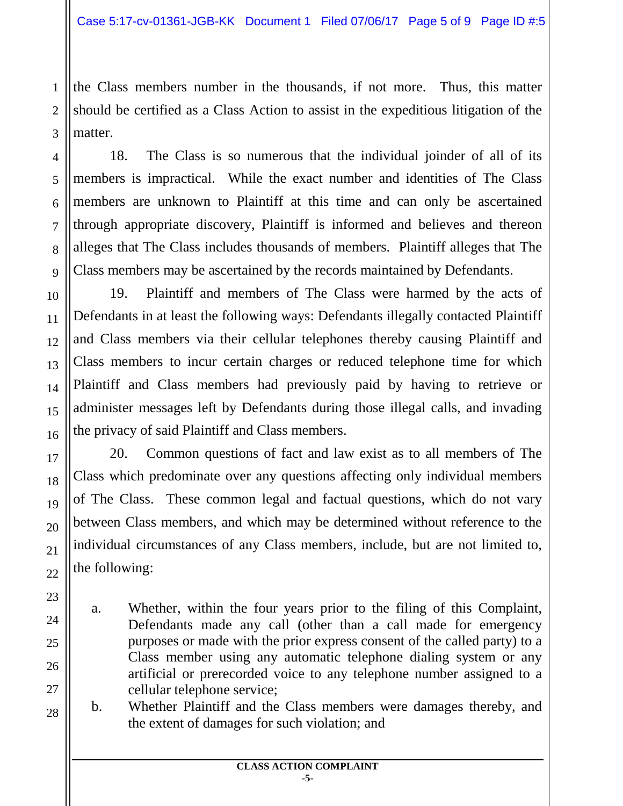the Class members number in the thousands, if not more. Thus, this matter should be certified as a Class Action to assist in the expeditious litigation of the matter.

18. The Class is so numerous that the individual joinder of all of its members is impractical. While the exact number and identities of The Class members are unknown to Plaintiff at this time and can only be ascertained through appropriate discovery, Plaintiff is informed and believes and thereon alleges that The Class includes thousands of members. Plaintiff alleges that The Class members may be ascertained by the records maintained by Defendants.

19. Plaintiff and members of The Class were harmed by the acts of Defendants in at least the following ways: Defendants illegally contacted Plaintiff and Class members via their cellular telephones thereby causing Plaintiff and Class members to incur certain charges or reduced telephone time for which Plaintiff and Class members had previously paid by having to retrieve or administer messages left by Defendants during those illegal calls, and invading the privacy of said Plaintiff and Class members.

20. Common questions of fact and law exist as to all members of The Class which predominate over any questions affecting only individual members of The Class. These common legal and factual questions, which do not vary between Class members, and which may be determined without reference to the individual circumstances of any Class members, include, but are not limited to, the following:

- a. Whether, within the four years prior to the filing of this Complaint, Defendants made any call (other than a call made for emergency purposes or made with the prior express consent of the called party) to a Class member using any automatic telephone dialing system or any artificial or prerecorded voice to any telephone number assigned to a cellular telephone service;
- b. Whether Plaintiff and the Class members were damages thereby, and the extent of damages for such violation; and

1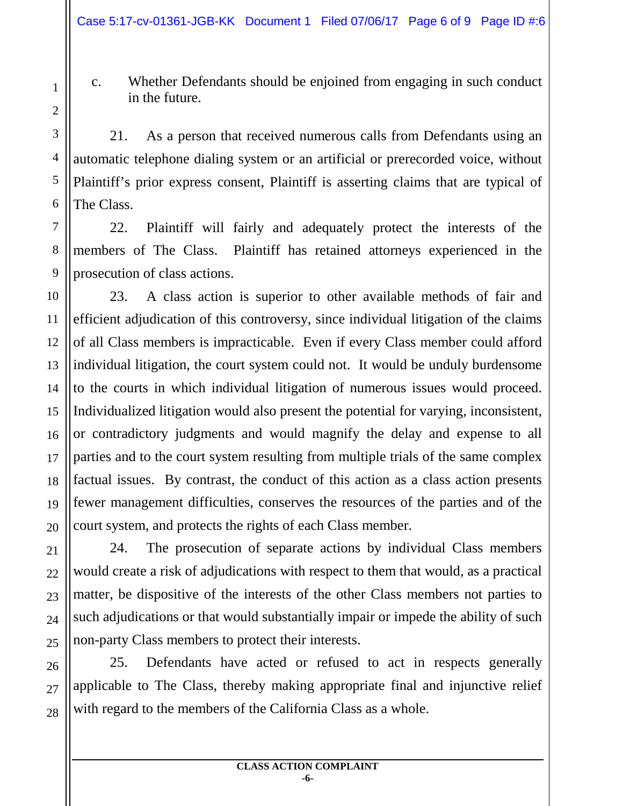c. Whether Defendants should be enjoined from engaging in such conduct in the future.

21. As a person that received numerous calls from Defendants using an automatic telephone dialing system or an artificial or prerecorded voice, without Plaintiff's prior express consent, Plaintiff is asserting claims that are typical of The Class.

22. Plaintiff will fairly and adequately protect the interests of the members of The Class. Plaintiff has retained attorneys experienced in the prosecution of class actions.

23. A class action is superior to other available methods of fair and efficient adjudication of this controversy, since individual litigation of the claims of all Class members is impracticable. Even if every Class member could afford individual litigation, the court system could not. It would be unduly burdensome to the courts in which individual litigation of numerous issues would proceed. Individualized litigation would also present the potential for varying, inconsistent, or contradictory judgments and would magnify the delay and expense to all parties and to the court system resulting from multiple trials of the same complex factual issues. By contrast, the conduct of this action as a class action presents fewer management difficulties, conserves the resources of the parties and of the court system, and protects the rights of each Class member.

24. The prosecution of separate actions by individual Class members would create a risk of adjudications with respect to them that would, as a practical matter, be dispositive of the interests of the other Class members not parties to such adjudications or that would substantially impair or impede the ability of such non-party Class members to protect their interests.

25. Defendants have acted or refused to act in respects generally applicable to The Class, thereby making appropriate final and injunctive relief with regard to the members of the California Class as a whole.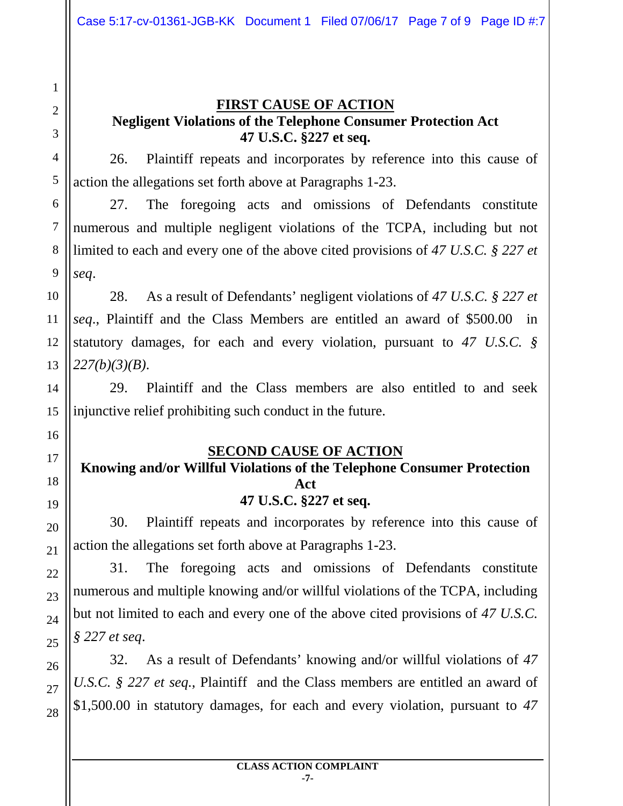28

#### **FIRST CAUSE OF ACTION Negligent Violations of the Telephone Consumer Protection Act 47 U.S.C. §227 et seq.**

26. Plaintiff repeats and incorporates by reference into this cause of action the allegations set forth above at Paragraphs 1-23.

27. The foregoing acts and omissions of Defendants constitute numerous and multiple negligent violations of the TCPA, including but not limited to each and every one of the above cited provisions of *47 U.S.C. § 227 et seq*.

28. As a result of Defendants' negligent violations of *47 U.S.C. § 227 et seq*., Plaintiff and the Class Members are entitled an award of \$500.00 in statutory damages, for each and every violation, pursuant to *47 U.S.C. § 227(b)(3)(B)*.

29. Plaintiff and the Class members are also entitled to and seek injunctive relief prohibiting such conduct in the future.

## **SECOND CAUSE OF ACTION**

#### **Knowing and/or Willful Violations of the Telephone Consumer Protection Act 47 U.S.C. §227 et seq.**

30. Plaintiff repeats and incorporates by reference into this cause of action the allegations set forth above at Paragraphs 1-23.

31. The foregoing acts and omissions of Defendants constitute numerous and multiple knowing and/or willful violations of the TCPA, including but not limited to each and every one of the above cited provisions of *47 U.S.C. § 227 et seq*.

32. As a result of Defendants' knowing and/or willful violations of *47 U.S.C. § 227 et seq.*, Plaintiff and the Class members are entitled an award of \$1,500.00 in statutory damages, for each and every violation, pursuant to *47*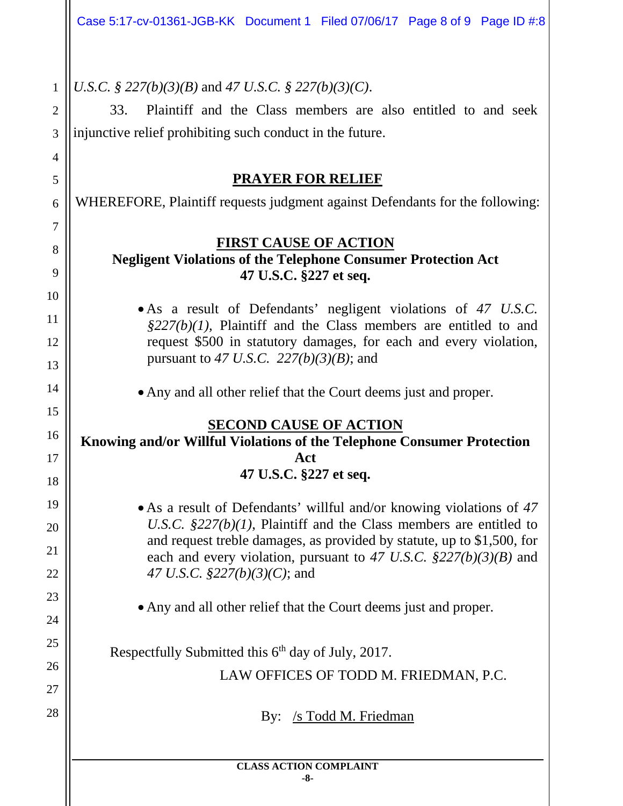*U.S.C. § 227(b)(3)(B)* and *47 U.S.C. § 227(b)(3)(C)*.

1

2

3

4

5

6

7

8

9

10

11

12

13

14

15

16

17

18

19

20

21

22

23

24

25

26

27

28

33. Plaintiff and the Class members are also entitled to and seek injunctive relief prohibiting such conduct in the future.

#### **PRAYER FOR RELIEF**

WHEREFORE, Plaintiff requests judgment against Defendants for the following:

## **FIRST CAUSE OF ACTION**

### **Negligent Violations of the Telephone Consumer Protection Act 47 U.S.C. §227 et seq.**

• As a result of Defendants' negligent violations of *47 U.S.C. §227(b)(1),* Plaintiff and the Class members are entitled to and request \$500 in statutory damages, for each and every violation, pursuant to *47 U.S.C. 227(b)(3)(B)*; and

• Any and all other relief that the Court deems just and proper.

# **SECOND CAUSE OF ACTION**

#### **Knowing and/or Willful Violations of the Telephone Consumer Protection Act 47 U.S.C. §227 et seq.**

• As a result of Defendants' willful and/or knowing violations of *47 U.S.C. §227(b)(1)*, Plaintiff and the Class members are entitled to and request treble damages, as provided by statute, up to \$1,500, for each and every violation, pursuant to *47 U.S.C. §227(b)(3)(B)* and *47 U.S.C. §227(b)(3)(C)*; and

• Any and all other relief that the Court deems just and proper.

Respectfully Submitted this  $6<sup>th</sup>$  day of July, 2017.

LAW OFFICES OF TODD M. FRIEDMAN, P.C.

By: /s Todd M. Friedman

# **CLASS ACTION COMPLAINT**